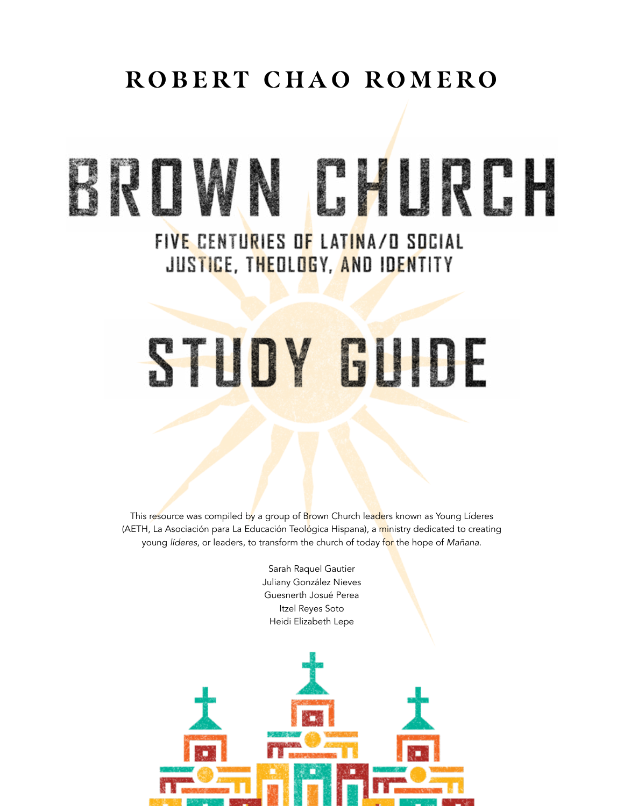## **ROBERT CHAO ROMERO**

# BRUMN EHURC FIVE CENTURIES OF LATINA/O SOCIAL JUSTICE, THEOLOGY, AND IDENTITY

# STUDY GUIDE

This resource was compiled by a group of Brown Church leaders known as Young Líderes (AETH, La Asociación para La Educación Teológica Hispana), a ministry dedicated to creating young *líderes*, or leaders, to transform the church of today for the hope of *Mañana*.

> Sarah Raquel Gautier Juliany González Nieves Guesnerth Josué Perea Itzel Reyes Soto Heidi Elizabeth Lepe

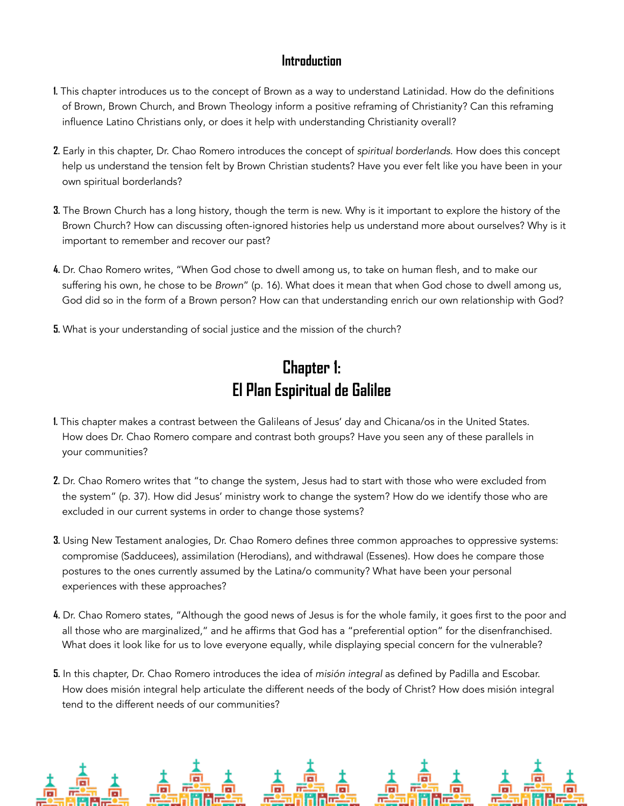#### **Introduction**

- **1.** This chapter introduces us to the concept of Brown as a way to understand Latinidad. How do the definitions of Brown, Brown Church, and Brown Theology inform a positive reframing of Christianity? Can this reframing influence Latino Christians only, or does it help with understanding Christianity overall?
- **2.** Early in this chapter, Dr. Chao Romero introduces the concept of *spiritual borderlands*. How does this concept help us understand the tension felt by Brown Christian students? Have you ever felt like you have been in your own spiritual borderlands?
- **3.** The Brown Church has a long history, though the term is new. Why is it important to explore the history of the Brown Church? How can discussing often-ignored histories help us understand more about ourselves? Why is it important to remember and recover our past?
- **4.** Dr. Chao Romero writes, "When God chose to dwell among us, to take on human flesh, and to make our suffering his own, he chose to be *Brown*" (p. 16). What does it mean that when God chose to dwell among us, God did so in the form of a Brown person? How can that understanding enrich our own relationship with God?
- **5.** What is your understanding of social justice and the mission of the church?

#### **Chapter 1: El Plan Espiritual de Galilee**

- **1.** This chapter makes a contrast between the Galileans of Jesus' day and Chicana/os in the United States. How does Dr. Chao Romero compare and contrast both groups? Have you seen any of these parallels in your communities?
- **2.** Dr. Chao Romero writes that "to change the system, Jesus had to start with those who were excluded from the system" (p. 37). How did Jesus' ministry work to change the system? How do we identify those who are excluded in our current systems in order to change those systems?
- **3.** Using New Testament analogies, Dr. Chao Romero defines three common approaches to oppressive systems: compromise (Sadducees), assimilation (Herodians), and withdrawal (Essenes). How does he compare those postures to the ones currently assumed by the Latina/o community? What have been your personal experiences with these approaches?
- **4.** Dr. Chao Romero states, "Although the good news of Jesus is for the whole family, it goes first to the poor and all those who are marginalized," and he affirms that God has a "preferential option" for the disenfranchised. What does it look like for us to love everyone equally, while displaying special concern for the vulnerable?
- **5.** In this chapter, Dr. Chao Romero introduces the idea of *misión integral* as defined by Padilla and Escobar. How does misión integral help articulate the different needs of the body of Christ? How does misión integral tend to the different needs of our communities?

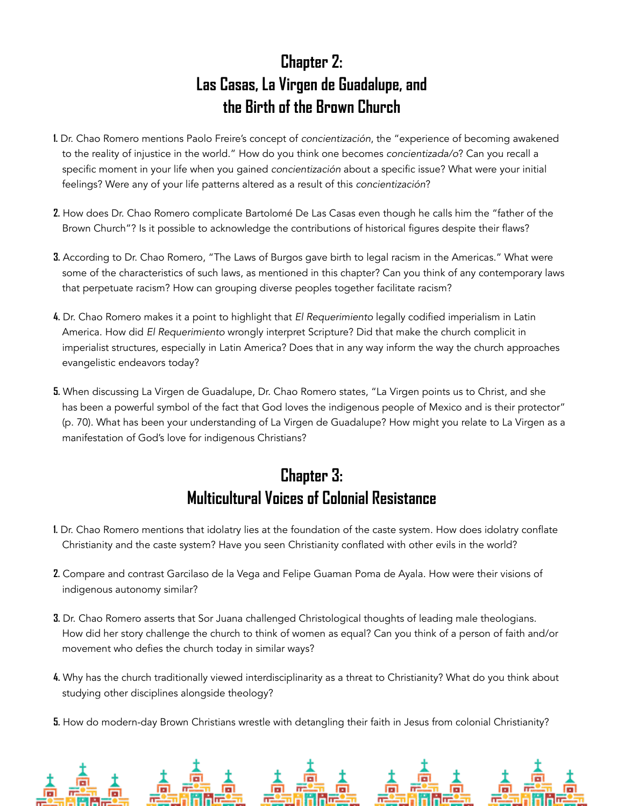#### **Chapter 2: Las Casas, La Virgen de Guadalupe, and the Birth of the Brown Church**

- **1.** Dr. Chao Romero mentions Paolo Freire's concept of *concientización*, the "experience of becoming awakened to the reality of injustice in the world." How do you think one becomes *concientizada/o*? Can you recall a specific moment in your life when you gained *concientización* about a specific issue? What were your initial feelings? Were any of your life patterns altered as a result of this *concientización*?
- **2.** How does Dr. Chao Romero complicate Bartolomé De Las Casas even though he calls him the "father of the Brown Church"? Is it possible to acknowledge the contributions of historical figures despite their flaws?
- **3.** According to Dr. Chao Romero, "The Laws of Burgos gave birth to legal racism in the Americas." What were some of the characteristics of such laws, as mentioned in this chapter? Can you think of any contemporary laws that perpetuate racism? How can grouping diverse peoples together facilitate racism?
- **4.** Dr. Chao Romero makes it a point to highlight that *El Requerimiento* legally codified imperialism in Latin America. How did *El Requerimiento* wrongly interpret Scripture? Did that make the church complicit in imperialist structures, especially in Latin America? Does that in any way inform the way the church approaches evangelistic endeavors today?
- **5.** When discussing La Virgen de Guadalupe, Dr. Chao Romero states, "La Virgen points us to Christ, and she has been a powerful symbol of the fact that God loves the indigenous people of Mexico and is their protector" (p. 70). What has been your understanding of La Virgen de Guadalupe? How might you relate to La Virgen as a manifestation of God's love for indigenous Christians?

### **Chapter 3: Multicultural Voices of Colonial Resistance**

- **1.** Dr. Chao Romero mentions that idolatry lies at the foundation of the caste system. How does idolatry conflate Christianity and the caste system? Have you seen Christianity conflated with other evils in the world?
- **2.** Compare and contrast Garcilaso de la Vega and Felipe Guaman Poma de Ayala. How were their visions of indigenous autonomy similar?
- **3.** Dr. Chao Romero asserts that Sor Juana challenged Christological thoughts of leading male theologians. How did her story challenge the church to think of women as equal? Can you think of a person of faith and/or movement who defies the church today in similar ways?
- **4.** Why has the church traditionally viewed interdisciplinarity as a threat to Christianity? What do you think about studying other disciplines alongside theology?
- **5.** How do modern-day Brown Christians wrestle with detangling their faith in Jesus from colonial Christianity?

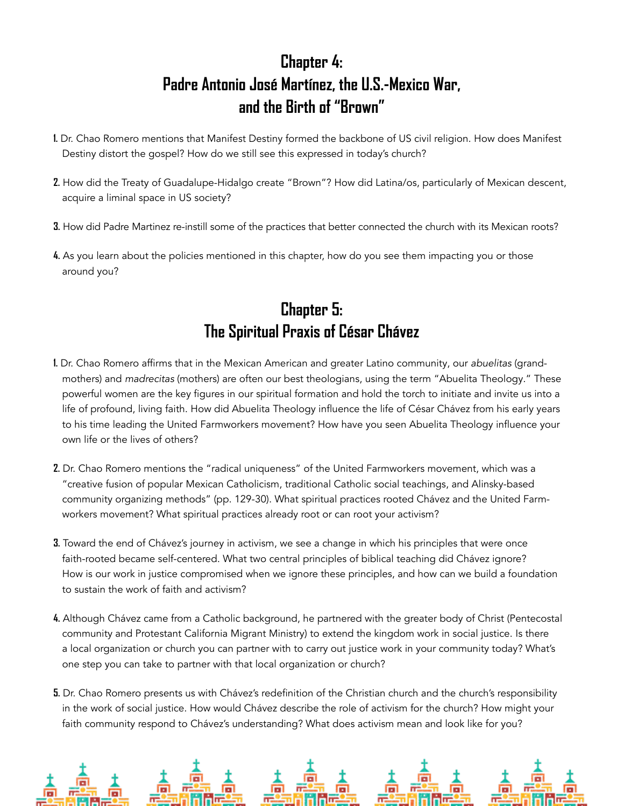#### **Chapter 4: Padre Antonio José Martínez, the U.S.-Mexico War, and the Birth of "Brown"**

- **1.** Dr. Chao Romero mentions that Manifest Destiny formed the backbone of US civil religion. How does Manifest Destiny distort the gospel? How do we still see this expressed in today's church?
- **2.** How did the Treaty of Guadalupe-Hidalgo create "Brown"? How did Latina/os, particularly of Mexican descent, acquire a liminal space in US society?
- **3.** How did Padre Martinez re-instill some of the practices that better connected the church with its Mexican roots?
- **4.** As you learn about the policies mentioned in this chapter, how do you see them impacting you or those around you?

#### **Chapter 5: The Spiritual Praxis of César Chávez**

- **1.** Dr. Chao Romero affirms that in the Mexican American and greater Latino community, our *abuelitas* (grandmothers) and *madrecitas* (mothers) are often our best theologians, using the term "Abuelita Theology." These powerful women are the key figures in our spiritual formation and hold the torch to initiate and invite us into a life of profound, living faith. How did Abuelita Theology influence the life of César Chávez from his early years to his time leading the United Farmworkers movement? How have you seen Abuelita Theology influence your own life or the lives of others?
- **2.** Dr. Chao Romero mentions the "radical uniqueness" of the United Farmworkers movement, which was a "creative fusion of popular Mexican Catholicism, traditional Catholic social teachings, and Alinsky-based community organizing methods" (pp. 129-30). What spiritual practices rooted Chávez and the United Farmworkers movement? What spiritual practices already root or can root your activism?
- **3.** Toward the end of Chávez's journey in activism, we see a change in which his principles that were once faith-rooted became self-centered. What two central principles of biblical teaching did Chávez ignore? How is our work in justice compromised when we ignore these principles, and how can we build a foundation to sustain the work of faith and activism?
- **4.** Although Chávez came from a Catholic background, he partnered with the greater body of Christ (Pentecostal community and Protestant California Migrant Ministry) to extend the kingdom work in social justice. Is there a local organization or church you can partner with to carry out justice work in your community today? What's one step you can take to partner with that local organization or church?
- **5.** Dr. Chao Romero presents us with Chávez's redefinition of the Christian church and the church's responsibility in the work of social justice. How would Chávez describe the role of activism for the church? How might your faith community respond to Chávez's understanding? What does activism mean and look like for you?

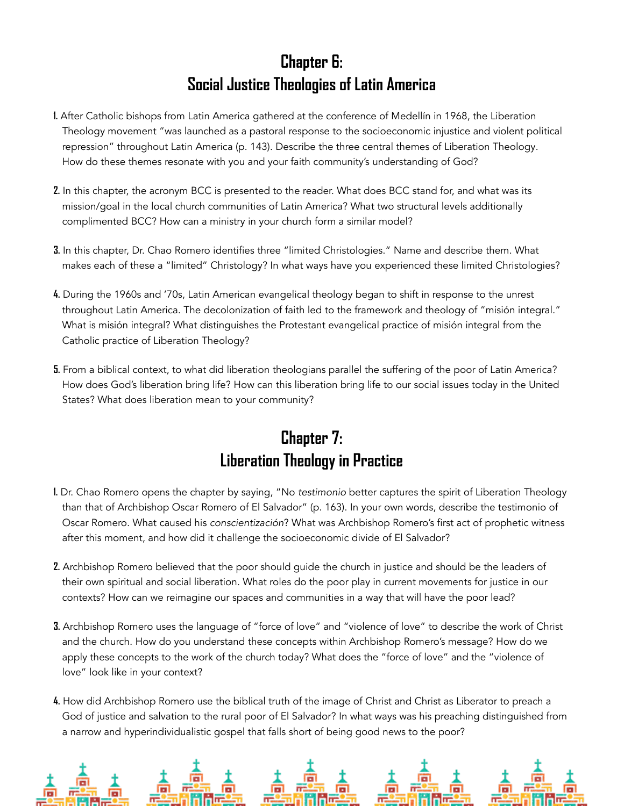#### **Chapter 6: Social Justice Theologies of Latin America**

- **1.** After Catholic bishops from Latin America gathered at the conference of Medellín in 1968, the Liberation Theology movement "was launched as a pastoral response to the socioeconomic injustice and violent political repression" throughout Latin America (p. 143). Describe the three central themes of Liberation Theology. How do these themes resonate with you and your faith community's understanding of God?
- **2.** In this chapter, the acronym BCC is presented to the reader. What does BCC stand for, and what was its mission/goal in the local church communities of Latin America? What two structural levels additionally complimented BCC? How can a ministry in your church form a similar model?
- **3.** In this chapter, Dr. Chao Romero identifies three "limited Christologies." Name and describe them. What makes each of these a "limited" Christology? In what ways have you experienced these limited Christologies?
- **4.** During the 1960s and '70s, Latin American evangelical theology began to shift in response to the unrest throughout Latin America. The decolonization of faith led to the framework and theology of "misión integral." What is misión integral? What distinguishes the Protestant evangelical practice of misión integral from the Catholic practice of Liberation Theology?
- **5.** From a biblical context, to what did liberation theologians parallel the suffering of the poor of Latin America? How does God's liberation bring life? How can this liberation bring life to our social issues today in the United States? What does liberation mean to your community?

#### **Chapter 7: Liberation Theology in Practice**

- **1.** Dr. Chao Romero opens the chapter by saying, "No *testimonio* better captures the spirit of Liberation Theology than that of Archbishop Oscar Romero of El Salvador" (p. 163). In your own words, describe the testimonio of Oscar Romero. What caused his *conscientización*? What was Archbishop Romero's first act of prophetic witness after this moment, and how did it challenge the socioeconomic divide of El Salvador?
- **2.** Archbishop Romero believed that the poor should guide the church in justice and should be the leaders of their own spiritual and social liberation. What roles do the poor play in current movements for justice in our contexts? How can we reimagine our spaces and communities in a way that will have the poor lead?
- **3.** Archbishop Romero uses the language of "force of love" and "violence of love" to describe the work of Christ and the church. How do you understand these concepts within Archbishop Romero's message? How do we apply these concepts to the work of the church today? What does the "force of love" and the "violence of love" look like in your context?
- **4.** How did Archbishop Romero use the biblical truth of the image of Christ and Christ as Liberator to preach a God of justice and salvation to the rural poor of El Salvador? In what ways was his preaching distinguished from a narrow and hyperindividualistic gospel that falls short of being good news to the poor?

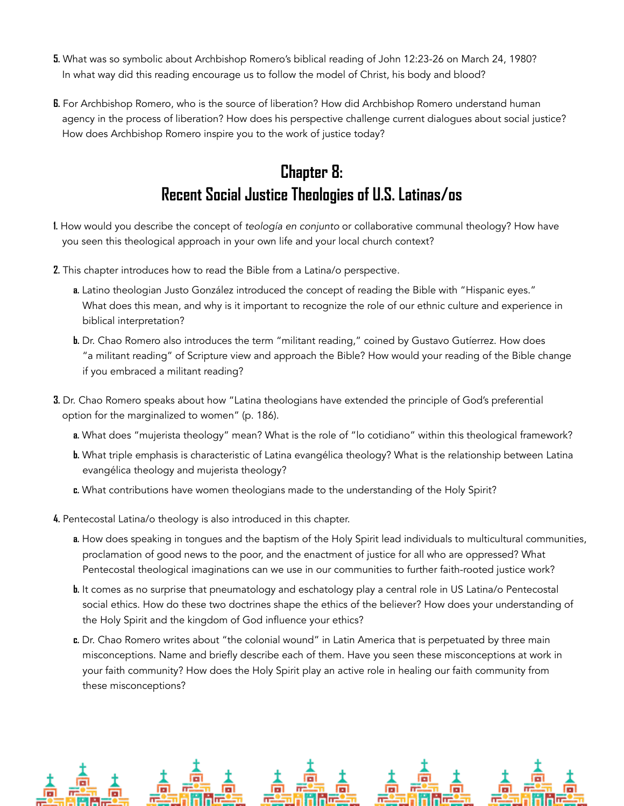- **5.** What was so symbolic about Archbishop Romero's biblical reading of John 12:23-26 on March 24, 1980? In what way did this reading encourage us to follow the model of Christ, his body and blood?
- **6.** For Archbishop Romero, who is the source of liberation? How did Archbishop Romero understand human agency in the process of liberation? How does his perspective challenge current dialogues about social justice? How does Archbishop Romero inspire you to the work of justice today?

#### **Chapter 8: Recent Social Justice Theologies of U.S. Latinas/os**

- **1.** How would you describe the concept of *teología en conjunto* or collaborative communal theology? How have you seen this theological approach in your own life and your local church context?
- **2.** This chapter introduces how to read the Bible from a Latina/o perspective.
	- **a.** Latino theologian Justo González introduced the concept of reading the Bible with "Hispanic eyes." What does this mean, and why is it important to recognize the role of our ethnic culture and experience in biblical interpretation?
	- **b.** Dr. Chao Romero also introduces the term "militant reading," coined by Gustavo Gutíerrez. How does "a militant reading" of Scripture view and approach the Bible? How would your reading of the Bible change if you embraced a militant reading?
- **3.** Dr. Chao Romero speaks about how "Latina theologians have extended the principle of God's preferential option for the marginalized to women" (p. 186).
	- **a.** What does "mujerista theology" mean? What is the role of "lo cotidiano" within this theological framework?
	- **b.** What triple emphasis is characteristic of Latina evangélica theology? What is the relationship between Latina evangélica theology and mujerista theology?
	- **c.** What contributions have women theologians made to the understanding of the Holy Spirit?
- **4.** Pentecostal Latina/o theology is also introduced in this chapter.
	- **a.** How does speaking in tongues and the baptism of the Holy Spirit lead individuals to multicultural communities, proclamation of good news to the poor, and the enactment of justice for all who are oppressed? What Pentecostal theological imaginations can we use in our communities to further faith-rooted justice work?
	- **b.** It comes as no surprise that pneumatology and eschatology play a central role in US Latina/o Pentecostal social ethics. How do these two doctrines shape the ethics of the believer? How does your understanding of the Holy Spirit and the kingdom of God influence your ethics?
	- **c.** Dr. Chao Romero writes about "the colonial wound" in Latin America that is perpetuated by three main misconceptions. Name and briefly describe each of them. Have you seen these misconceptions at work in your faith community? How does the Holy Spirit play an active role in healing our faith community from these misconceptions?